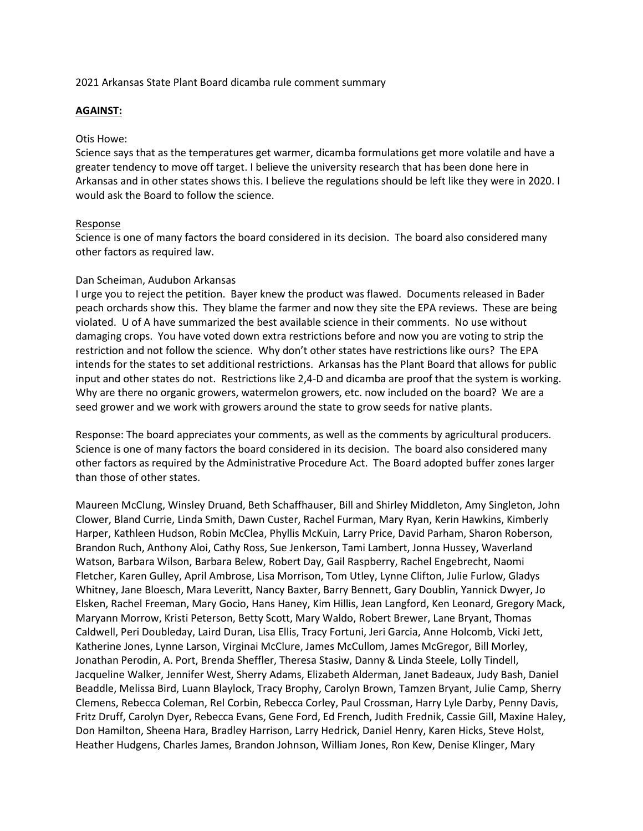2021 Arkansas State Plant Board dicamba rule comment summary

## **AGAINST:**

### Otis Howe:

Science says that as the temperatures get warmer, dicamba formulations get more volatile and have a greater tendency to move off target. I believe the university research that has been done here in Arkansas and in other states shows this. I believe the regulations should be left like they were in 2020. I would ask the Board to follow the science.

## Response

Science is one of many factors the board considered in its decision. The board also considered many other factors as required law.

## Dan Scheiman, Audubon Arkansas

I urge you to reject the petition. Bayer knew the product was flawed. Documents released in Bader peach orchards show this. They blame the farmer and now they site the EPA reviews. These are being violated. U of A have summarized the best available science in their comments. No use without damaging crops. You have voted down extra restrictions before and now you are voting to strip the restriction and not follow the science. Why don't other states have restrictions like ours? The EPA intends for the states to set additional restrictions. Arkansas has the Plant Board that allows for public input and other states do not. Restrictions like 2,4-D and dicamba are proof that the system is working. Why are there no organic growers, watermelon growers, etc. now included on the board? We are a seed grower and we work with growers around the state to grow seeds for native plants.

Response: The board appreciates your comments, as well as the comments by agricultural producers. Science is one of many factors the board considered in its decision. The board also considered many other factors as required by the Administrative Procedure Act. The Board adopted buffer zones larger than those of other states.

Maureen McClung, Winsley Druand, Beth Schaffhauser, Bill and Shirley Middleton, Amy Singleton, John Clower, Bland Currie, Linda Smith, Dawn Custer, Rachel Furman, Mary Ryan, Kerin Hawkins, Kimberly Harper, Kathleen Hudson, Robin McClea, Phyllis McKuin, Larry Price, David Parham, Sharon Roberson, Brandon Ruch, Anthony Aloi, Cathy Ross, Sue Jenkerson, Tami Lambert, Jonna Hussey, Waverland Watson, Barbara Wilson, Barbara Belew, Robert Day, Gail Raspberry, Rachel Engebrecht, Naomi Fletcher, Karen Gulley, April Ambrose, Lisa Morrison, Tom Utley, Lynne Clifton, Julie Furlow, Gladys Whitney, Jane Bloesch, Mara Leveritt, Nancy Baxter, Barry Bennett, Gary Doublin, Yannick Dwyer, Jo Elsken, Rachel Freeman, Mary Gocio, Hans Haney, Kim Hillis, Jean Langford, Ken Leonard, Gregory Mack, Maryann Morrow, Kristi Peterson, Betty Scott, Mary Waldo, Robert Brewer, Lane Bryant, Thomas Caldwell, Peri Doubleday, Laird Duran, Lisa Ellis, Tracy Fortuni, Jeri Garcia, Anne Holcomb, Vicki Jett, Katherine Jones, Lynne Larson, Virginai McClure, James McCullom, James McGregor, Bill Morley, Jonathan Perodin, A. Port, Brenda Sheffler, Theresa Stasiw, Danny & Linda Steele, Lolly Tindell, Jacqueline Walker, Jennifer West, Sherry Adams, Elizabeth Alderman, Janet Badeaux, Judy Bash, Daniel Beaddle, Melissa Bird, Luann Blaylock, Tracy Brophy, Carolyn Brown, Tamzen Bryant, Julie Camp, Sherry Clemens, Rebecca Coleman, Rel Corbin, Rebecca Corley, Paul Crossman, Harry Lyle Darby, Penny Davis, Fritz Druff, Carolyn Dyer, Rebecca Evans, Gene Ford, Ed French, Judith Frednik, Cassie Gill, Maxine Haley, Don Hamilton, Sheena Hara, Bradley Harrison, Larry Hedrick, Daniel Henry, Karen Hicks, Steve Holst, Heather Hudgens, Charles James, Brandon Johnson, William Jones, Ron Kew, Denise Klinger, Mary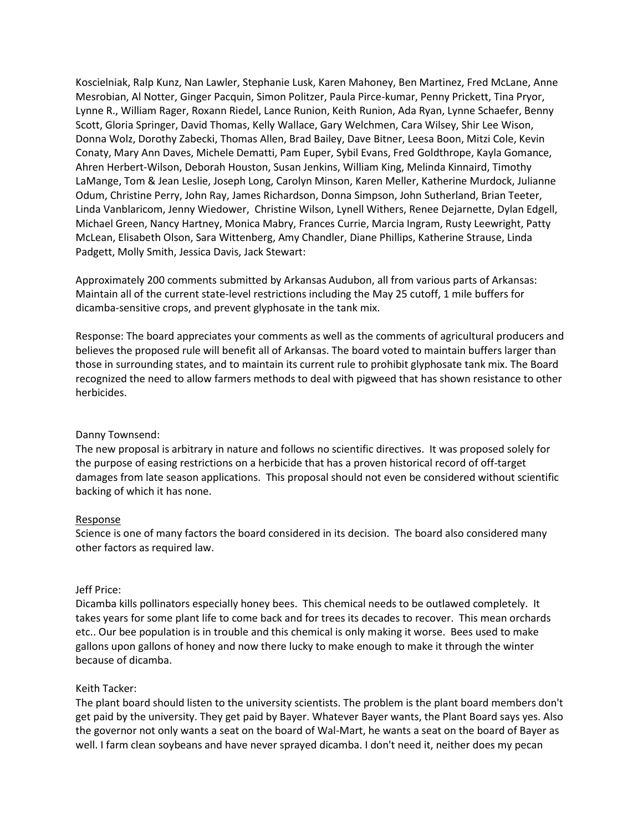Koscielniak, Ralp Kunz, Nan Lawler, Stephanie Lusk, Karen Mahoney, Ben Martinez, Fred McLane, Anne Mesrobian, Al Notter, Ginger Pacquin, Simon Politzer, Paula Pirce-kumar, Penny Prickett, Tina Pryor, Lynne R., William Rager, Roxann Riedel, Lance Runion, Keith Runion, Ada Ryan, Lynne Schaefer, Benny Scott, Gloria Springer, David Thomas, Kelly Wallace, Gary Welchmen, Cara Wilsey, Shir Lee Wison, Donna Wolz, Dorothy Zabecki, Thomas Allen, Brad Bailey, Dave Bitner, Leesa Boon, Mitzi Cole, Kevin Conaty, Mary Ann Daves, Michele Dematti, Pam Euper, Sybil Evans, Fred Goldthrope, Kayla Gomance, Ahren Herbert-Wilson, Deborah Houston, Susan Jenkins, William King, Melinda Kinnaird, Timothy LaMange, Tom & Jean Leslie, Joseph Long, Carolyn Minson, Karen Meller, Katherine Murdock, Julianne Odum, Christine Perry, John Ray, James Richardson, Donna Simpson, John Sutherland, Brian Teeter, Linda Vanblaricom, Jenny Wiedower, Christine Wilson, Lynell Withers, Renee Dejarnette, Dylan Edgell, Michael Green, Nancy Hartney, Monica Mabry, Frances Currie, Marcia Ingram, Rusty Leewright, Patty McLean, Elisabeth Olson, Sara Wittenberg, Amy Chandler, Diane Phillips, Katherine Strause, Linda Padgett, Molly Smith, Jessica Davis, Jack Stewart:

Approximately 200 comments submitted by Arkansas Audubon, all from various parts of Arkansas: Maintain all of the current state-level restrictions including the May 25 cutoff, 1 mile buffers for dicamba-sensitive crops, and prevent glyphosate in the tank mix.

Response: The board appreciates your comments as well as the comments of agricultural producers and believes the proposed rule will benefit all of Arkansas. The board voted to maintain buffers larger than those in surrounding states, and to maintain its current rule to prohibit glyphosate tank mix. The Board recognized the need to allow farmers methods to deal with pigweed that has shown resistance to other herbicides.

### Danny Townsend:

The new proposal is arbitrary in nature and follows no scientific directives. It was proposed solely for the purpose of easing restrictions on a herbicide that has a proven historical record of off-target damages from late season applications. This proposal should not even be considered without scientific backing of which it has none.

### Response

Science is one of many factors the board considered in its decision. The board also considered many other factors as required law.

### Jeff Price:

Dicamba kills pollinators especially honey bees. This chemical needs to be outlawed completely. It takes years for some plant life to come back and for trees its decades to recover. This mean orchards etc.. Our bee population is in trouble and this chemical is only making it worse. Bees used to make gallons upon gallons of honey and now there lucky to make enough to make it through the winter because of dicamba.

### Keith Tacker:

The plant board should listen to the university scientists. The problem is the plant board members don't get paid by the university. They get paid by Bayer. Whatever Bayer wants, the Plant Board says yes. Also the governor not only wants a seat on the board of Wal-Mart, he wants a seat on the board of Bayer as well. I farm clean soybeans and have never sprayed dicamba. I don't need it, neither does my pecan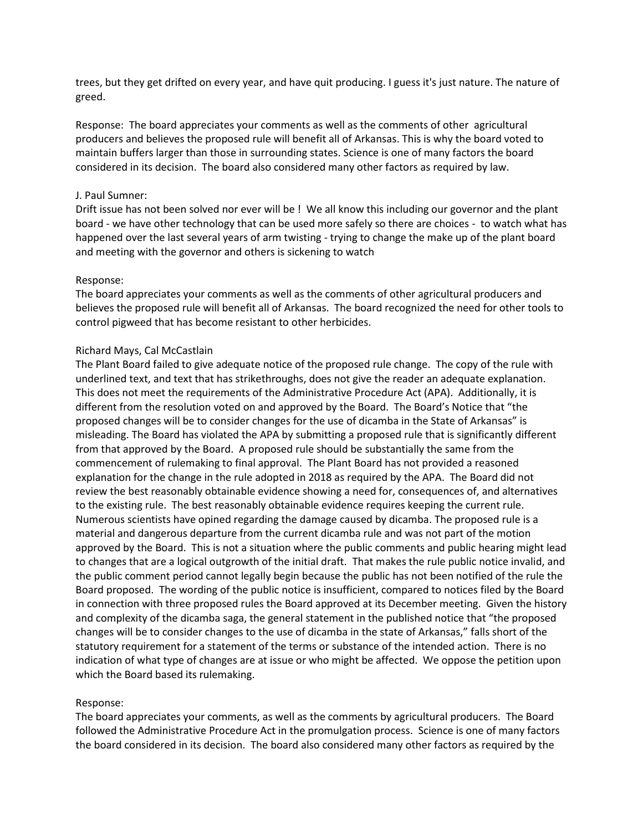trees, but they get drifted on every year, and have quit producing. I guess it's just nature. The nature of greed.

Response: The board appreciates your comments as well as the comments of other agricultural producers and believes the proposed rule will benefit all of Arkansas. This is why the board voted to maintain buffers larger than those in surrounding states. Science is one of many factors the board considered in its decision. The board also considered many other factors as required by law.

### J. Paul Sumner:

Drift issue has not been solved nor ever will be ! We all know this including our governor and the plant board - we have other technology that can be used more safely so there are choices - to watch what has happened over the last several years of arm twisting - trying to change the make up of the plant board and meeting with the governor and others is sickening to watch

### Response:

The board appreciates your comments as well as the comments of other agricultural producers and believes the proposed rule will benefit all of Arkansas. The board recognized the need for other tools to control pigweed that has become resistant to other herbicides.

### Richard Mays, Cal McCastlain

The Plant Board failed to give adequate notice of the proposed rule change. The copy of the rule with underlined text, and text that has strikethroughs, does not give the reader an adequate explanation. This does not meet the requirements of the Administrative Procedure Act (APA). Additionally, it is different from the resolution voted on and approved by the Board. The Board's Notice that "the proposed changes will be to consider changes for the use of dicamba in the State of Arkansas" is misleading. The Board has violated the APA by submitting a proposed rule that is significantly different from that approved by the Board. A proposed rule should be substantially the same from the commencement of rulemaking to final approval. The Plant Board has not provided a reasoned explanation for the change in the rule adopted in 2018 as required by the APA. The Board did not review the best reasonably obtainable evidence showing a need for, consequences of, and alternatives to the existing rule. The best reasonably obtainable evidence requires keeping the current rule. Numerous scientists have opined regarding the damage caused by dicamba. The proposed rule is a material and dangerous departure from the current dicamba rule and was not part of the motion approved by the Board. This is not a situation where the public comments and public hearing might lead to changes that are a logical outgrowth of the initial draft. That makes the rule public notice invalid, and the public comment period cannot legally begin because the public has not been notified of the rule the Board proposed. The wording of the public notice is insufficient, compared to notices filed by the Board in connection with three proposed rules the Board approved at its December meeting. Given the history and complexity of the dicamba saga, the general statement in the published notice that "the proposed changes will be to consider changes to the use of dicamba in the state of Arkansas," falls short of the statutory requirement for a statement of the terms or substance of the intended action. There is no indication of what type of changes are at issue or who might be affected. We oppose the petition upon which the Board based its rulemaking.

#### Response:

The board appreciates your comments, as well as the comments by agricultural producers. The Board followed the Administrative Procedure Act in the promulgation process. Science is one of many factors the board considered in its decision. The board also considered many other factors as required by the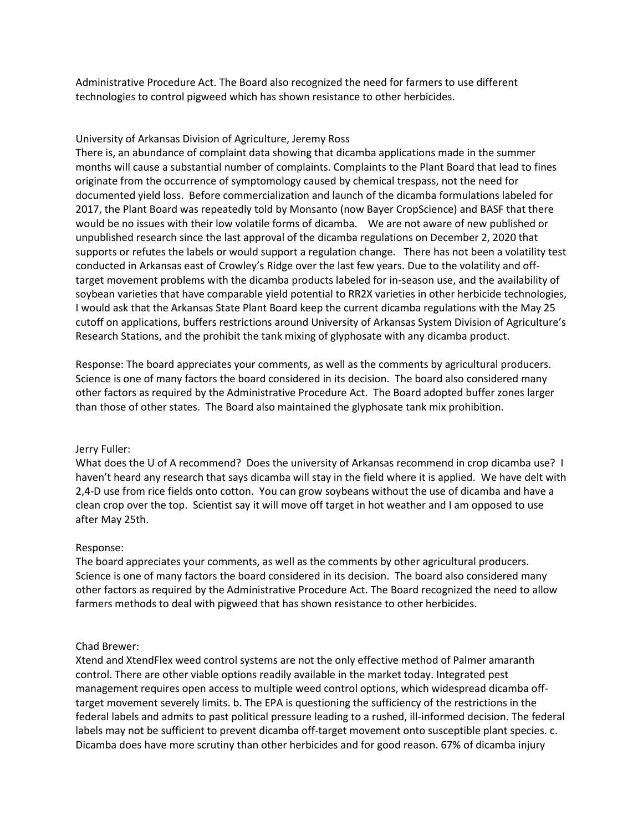Administrative Procedure Act. The Board also recognized the need for farmers to use different technologies to control pigweed which has shown resistance to other herbicides.

## University of Arkansas Division of Agriculture, Jeremy Ross

There is, an abundance of complaint data showing that dicamba applications made in the summer months will cause a substantial number of complaints. Complaints to the Plant Board that lead to fines originate from the occurrence of symptomology caused by chemical trespass, not the need for documented yield loss. Before commercialization and launch of the dicamba formulations labeled for 2017, the Plant Board was repeatedly told by Monsanto (now Bayer CropScience) and BASF that there would be no issues with their low volatile forms of dicamba. We are not aware of new published or unpublished research since the last approval of the dicamba regulations on December 2, 2020 that supports or refutes the labels or would support a regulation change. There has not been a volatility test conducted in Arkansas east of Crowley's Ridge over the last few years. Due to the volatility and offtarget movement problems with the dicamba products labeled for in-season use, and the availability of soybean varieties that have comparable yield potential to RR2X varieties in other herbicide technologies, I would ask that the Arkansas State Plant Board keep the current dicamba regulations with the May 25 cutoff on applications, buffers restrictions around University of Arkansas System Division of Agriculture's Research Stations, and the prohibit the tank mixing of glyphosate with any dicamba product.

Response: The board appreciates your comments, as well as the comments by agricultural producers. Science is one of many factors the board considered in its decision. The board also considered many other factors as required by the Administrative Procedure Act. The Board adopted buffer zones larger than those of other states. The Board also maintained the glyphosate tank mix prohibition.

### Jerry Fuller:

What does the U of A recommend? Does the university of Arkansas recommend in crop dicamba use? I haven't heard any research that says dicamba will stay in the field where it is applied. We have delt with 2,4-D use from rice fields onto cotton. You can grow soybeans without the use of dicamba and have a clean crop over the top. Scientist say it will move off target in hot weather and I am opposed to use after May 25th.

### Response:

The board appreciates your comments, as well as the comments by other agricultural producers. Science is one of many factors the board considered in its decision. The board also considered many other factors as required by the Administrative Procedure Act. The Board recognized the need to allow farmers methods to deal with pigweed that has shown resistance to other herbicides.

### Chad Brewer:

Xtend and XtendFlex weed control systems are not the only effective method of Palmer amaranth control. There are other viable options readily available in the market today. Integrated pest management requires open access to multiple weed control options, which widespread dicamba offtarget movement severely limits. b. The EPA is questioning the sufficiency of the restrictions in the federal labels and admits to past political pressure leading to a rushed, ill-informed decision. The federal labels may not be sufficient to prevent dicamba off-target movement onto susceptible plant species. c. Dicamba does have more scrutiny than other herbicides and for good reason. 67% of dicamba injury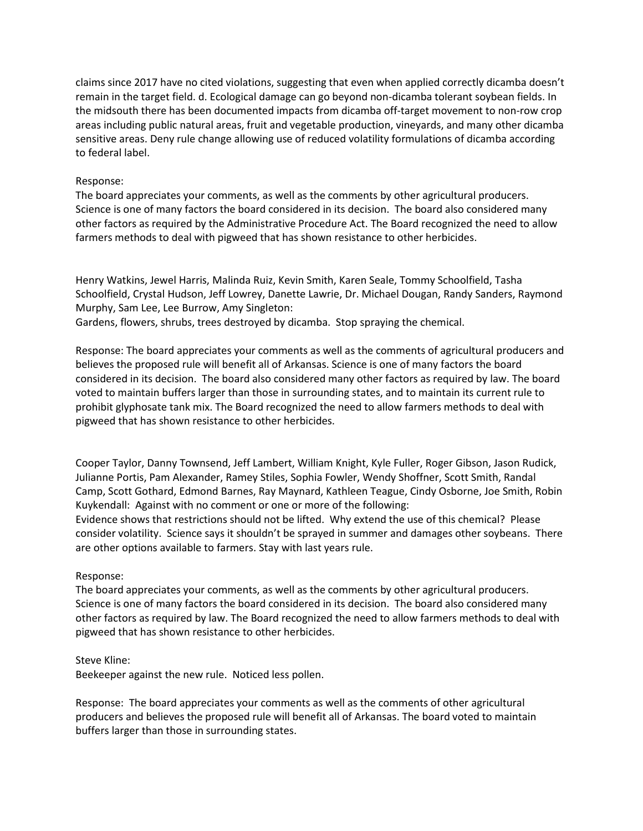claims since 2017 have no cited violations, suggesting that even when applied correctly dicamba doesn't remain in the target field. d. Ecological damage can go beyond non-dicamba tolerant soybean fields. In the midsouth there has been documented impacts from dicamba off-target movement to non-row crop areas including public natural areas, fruit and vegetable production, vineyards, and many other dicamba sensitive areas. Deny rule change allowing use of reduced volatility formulations of dicamba according to federal label.

## Response:

The board appreciates your comments, as well as the comments by other agricultural producers. Science is one of many factors the board considered in its decision. The board also considered many other factors as required by the Administrative Procedure Act. The Board recognized the need to allow farmers methods to deal with pigweed that has shown resistance to other herbicides.

Henry Watkins, Jewel Harris, Malinda Ruiz, Kevin Smith, Karen Seale, Tommy Schoolfield, Tasha Schoolfield, Crystal Hudson, Jeff Lowrey, Danette Lawrie, Dr. Michael Dougan, Randy Sanders, Raymond Murphy, Sam Lee, Lee Burrow, Amy Singleton:

Gardens, flowers, shrubs, trees destroyed by dicamba. Stop spraying the chemical.

Response: The board appreciates your comments as well as the comments of agricultural producers and believes the proposed rule will benefit all of Arkansas. Science is one of many factors the board considered in its decision. The board also considered many other factors as required by law. The board voted to maintain buffers larger than those in surrounding states, and to maintain its current rule to prohibit glyphosate tank mix. The Board recognized the need to allow farmers methods to deal with pigweed that has shown resistance to other herbicides.

Cooper Taylor, Danny Townsend, Jeff Lambert, William Knight, Kyle Fuller, Roger Gibson, Jason Rudick, Julianne Portis, Pam Alexander, Ramey Stiles, Sophia Fowler, Wendy Shoffner, Scott Smith, Randal Camp, Scott Gothard, Edmond Barnes, Ray Maynard, Kathleen Teague, Cindy Osborne, Joe Smith, Robin Kuykendall: Against with no comment or one or more of the following:

Evidence shows that restrictions should not be lifted. Why extend the use of this chemical? Please consider volatility. Science says it shouldn't be sprayed in summer and damages other soybeans. There are other options available to farmers. Stay with last years rule.

### Response:

The board appreciates your comments, as well as the comments by other agricultural producers. Science is one of many factors the board considered in its decision. The board also considered many other factors as required by law. The Board recognized the need to allow farmers methods to deal with pigweed that has shown resistance to other herbicides.

### Steve Kline:

Beekeeper against the new rule. Noticed less pollen.

Response: The board appreciates your comments as well as the comments of other agricultural producers and believes the proposed rule will benefit all of Arkansas. The board voted to maintain buffers larger than those in surrounding states.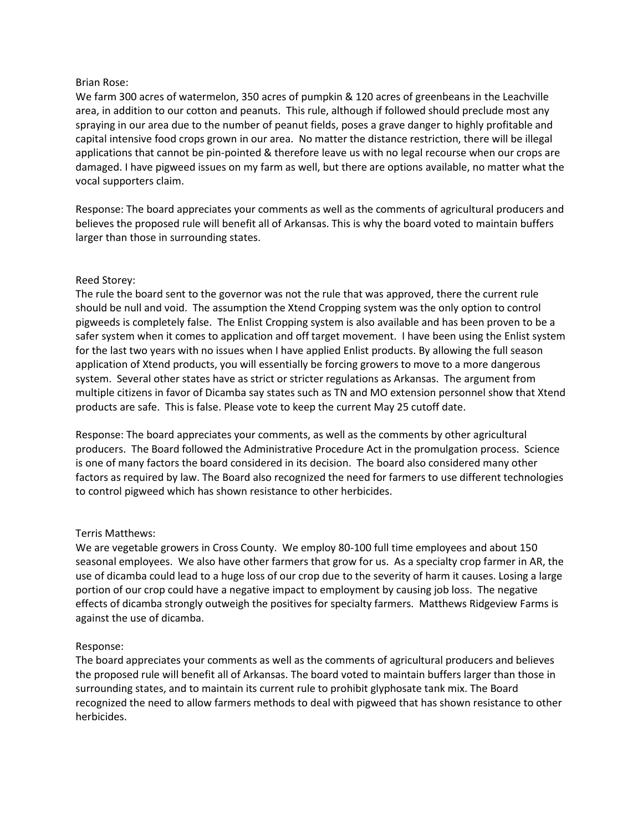## Brian Rose:

We farm 300 acres of watermelon, 350 acres of pumpkin & 120 acres of greenbeans in the Leachville area, in addition to our cotton and peanuts. This rule, although if followed should preclude most any spraying in our area due to the number of peanut fields, poses a grave danger to highly profitable and capital intensive food crops grown in our area. No matter the distance restriction, there will be illegal applications that cannot be pin-pointed & therefore leave us with no legal recourse when our crops are damaged. I have pigweed issues on my farm as well, but there are options available, no matter what the vocal supporters claim.

Response: The board appreciates your comments as well as the comments of agricultural producers and believes the proposed rule will benefit all of Arkansas. This is why the board voted to maintain buffers larger than those in surrounding states.

## Reed Storey:

The rule the board sent to the governor was not the rule that was approved, there the current rule should be null and void. The assumption the Xtend Cropping system was the only option to control pigweeds is completely false. The Enlist Cropping system is also available and has been proven to be a safer system when it comes to application and off target movement. I have been using the Enlist system for the last two years with no issues when I have applied Enlist products. By allowing the full season application of Xtend products, you will essentially be forcing growers to move to a more dangerous system. Several other states have as strict or stricter regulations as Arkansas. The argument from multiple citizens in favor of Dicamba say states such as TN and MO extension personnel show that Xtend products are safe. This is false. Please vote to keep the current May 25 cutoff date.

Response: The board appreciates your comments, as well as the comments by other agricultural producers. The Board followed the Administrative Procedure Act in the promulgation process. Science is one of many factors the board considered in its decision. The board also considered many other factors as required by law. The Board also recognized the need for farmers to use different technologies to control pigweed which has shown resistance to other herbicides.

## Terris Matthews:

We are vegetable growers in Cross County. We employ 80-100 full time employees and about 150 seasonal employees. We also have other farmers that grow for us. As a specialty crop farmer in AR, the use of dicamba could lead to a huge loss of our crop due to the severity of harm it causes. Losing a large portion of our crop could have a negative impact to employment by causing job loss. The negative effects of dicamba strongly outweigh the positives for specialty farmers. Matthews Ridgeview Farms is against the use of dicamba.

### Response:

The board appreciates your comments as well as the comments of agricultural producers and believes the proposed rule will benefit all of Arkansas. The board voted to maintain buffers larger than those in surrounding states, and to maintain its current rule to prohibit glyphosate tank mix. The Board recognized the need to allow farmers methods to deal with pigweed that has shown resistance to other herbicides.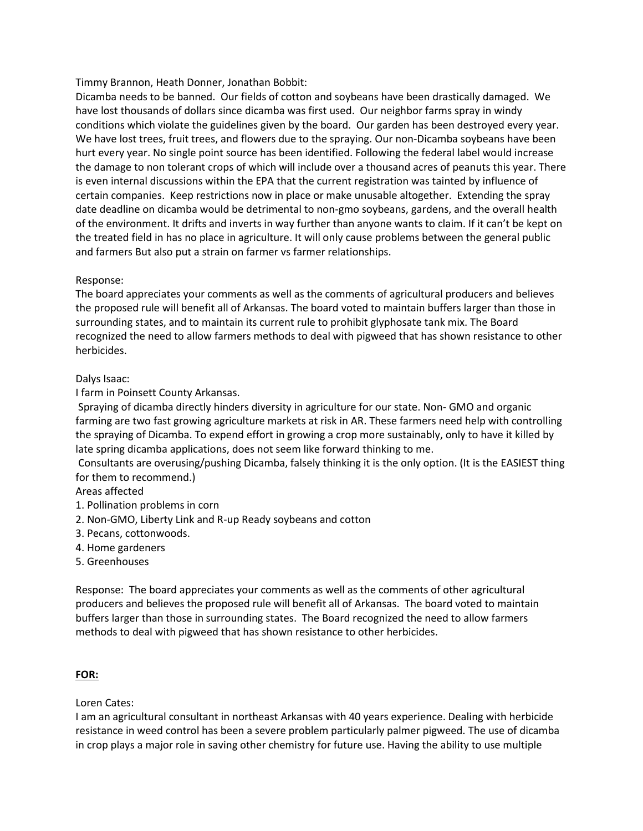Timmy Brannon, Heath Donner, Jonathan Bobbit:

Dicamba needs to be banned. Our fields of cotton and soybeans have been drastically damaged. We have lost thousands of dollars since dicamba was first used. Our neighbor farms spray in windy conditions which violate the guidelines given by the board. Our garden has been destroyed every year. We have lost trees, fruit trees, and flowers due to the spraying. Our non-Dicamba soybeans have been hurt every year. No single point source has been identified. Following the federal label would increase the damage to non tolerant crops of which will include over a thousand acres of peanuts this year. There is even internal discussions within the EPA that the current registration was tainted by influence of certain companies. Keep restrictions now in place or make unusable altogether. Extending the spray date deadline on dicamba would be detrimental to non-gmo soybeans, gardens, and the overall health of the environment. It drifts and inverts in way further than anyone wants to claim. If it can't be kept on the treated field in has no place in agriculture. It will only cause problems between the general public and farmers But also put a strain on farmer vs farmer relationships.

# Response:

The board appreciates your comments as well as the comments of agricultural producers and believes the proposed rule will benefit all of Arkansas. The board voted to maintain buffers larger than those in surrounding states, and to maintain its current rule to prohibit glyphosate tank mix. The Board recognized the need to allow farmers methods to deal with pigweed that has shown resistance to other herbicides.

## Dalys Isaac:

I farm in Poinsett County Arkansas.

Spraying of dicamba directly hinders diversity in agriculture for our state. Non- GMO and organic farming are two fast growing agriculture markets at risk in AR. These farmers need help with controlling the spraying of Dicamba. To expend effort in growing a crop more sustainably, only to have it killed by late spring dicamba applications, does not seem like forward thinking to me.

Consultants are overusing/pushing Dicamba, falsely thinking it is the only option. (It is the EASIEST thing for them to recommend.)

Areas affected

- 1. Pollination problems in corn
- 2. Non-GMO, Liberty Link and R-up Ready soybeans and cotton
- 3. Pecans, cottonwoods.
- 4. Home gardeners
- 5. Greenhouses

Response: The board appreciates your comments as well as the comments of other agricultural producers and believes the proposed rule will benefit all of Arkansas. The board voted to maintain buffers larger than those in surrounding states. The Board recognized the need to allow farmers methods to deal with pigweed that has shown resistance to other herbicides.

## **FOR:**

## Loren Cates:

I am an agricultural consultant in northeast Arkansas with 40 years experience. Dealing with herbicide resistance in weed control has been a severe problem particularly palmer pigweed. The use of dicamba in crop plays a major role in saving other chemistry for future use. Having the ability to use multiple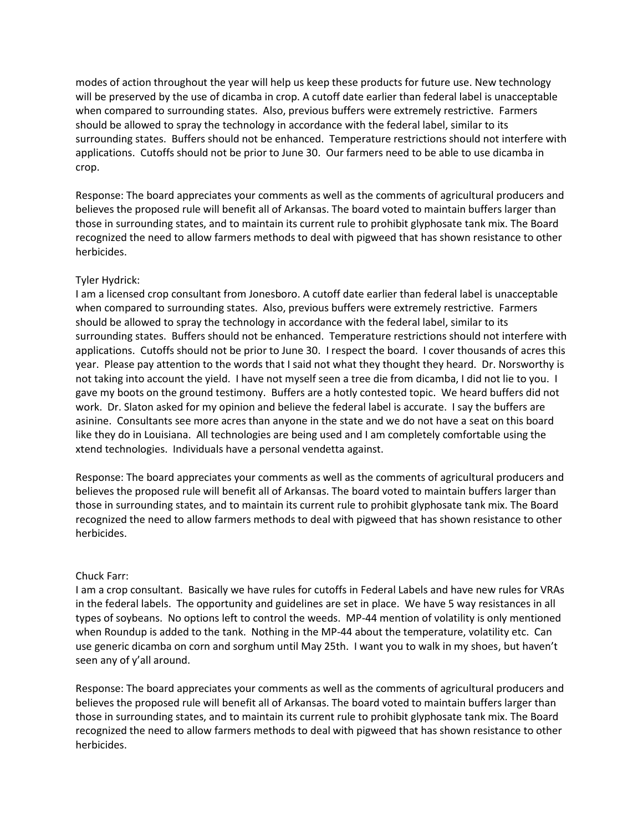modes of action throughout the year will help us keep these products for future use. New technology will be preserved by the use of dicamba in crop. A cutoff date earlier than federal label is unacceptable when compared to surrounding states. Also, previous buffers were extremely restrictive. Farmers should be allowed to spray the technology in accordance with the federal label, similar to its surrounding states. Buffers should not be enhanced. Temperature restrictions should not interfere with applications. Cutoffs should not be prior to June 30. Our farmers need to be able to use dicamba in crop.

Response: The board appreciates your comments as well as the comments of agricultural producers and believes the proposed rule will benefit all of Arkansas. The board voted to maintain buffers larger than those in surrounding states, and to maintain its current rule to prohibit glyphosate tank mix. The Board recognized the need to allow farmers methods to deal with pigweed that has shown resistance to other herbicides.

## Tyler Hydrick:

I am a licensed crop consultant from Jonesboro. A cutoff date earlier than federal label is unacceptable when compared to surrounding states. Also, previous buffers were extremely restrictive. Farmers should be allowed to spray the technology in accordance with the federal label, similar to its surrounding states. Buffers should not be enhanced. Temperature restrictions should not interfere with applications. Cutoffs should not be prior to June 30. I respect the board. I cover thousands of acres this year. Please pay attention to the words that I said not what they thought they heard. Dr. Norsworthy is not taking into account the yield. I have not myself seen a tree die from dicamba, I did not lie to you. I gave my boots on the ground testimony. Buffers are a hotly contested topic. We heard buffers did not work. Dr. Slaton asked for my opinion and believe the federal label is accurate. I say the buffers are asinine. Consultants see more acres than anyone in the state and we do not have a seat on this board like they do in Louisiana. All technologies are being used and I am completely comfortable using the xtend technologies. Individuals have a personal vendetta against.

Response: The board appreciates your comments as well as the comments of agricultural producers and believes the proposed rule will benefit all of Arkansas. The board voted to maintain buffers larger than those in surrounding states, and to maintain its current rule to prohibit glyphosate tank mix. The Board recognized the need to allow farmers methods to deal with pigweed that has shown resistance to other herbicides.

## Chuck Farr:

I am a crop consultant. Basically we have rules for cutoffs in Federal Labels and have new rules for VRAs in the federal labels. The opportunity and guidelines are set in place. We have 5 way resistances in all types of soybeans. No options left to control the weeds. MP-44 mention of volatility is only mentioned when Roundup is added to the tank. Nothing in the MP-44 about the temperature, volatility etc. Can use generic dicamba on corn and sorghum until May 25th. I want you to walk in my shoes, but haven't seen any of y'all around.

Response: The board appreciates your comments as well as the comments of agricultural producers and believes the proposed rule will benefit all of Arkansas. The board voted to maintain buffers larger than those in surrounding states, and to maintain its current rule to prohibit glyphosate tank mix. The Board recognized the need to allow farmers methods to deal with pigweed that has shown resistance to other herbicides.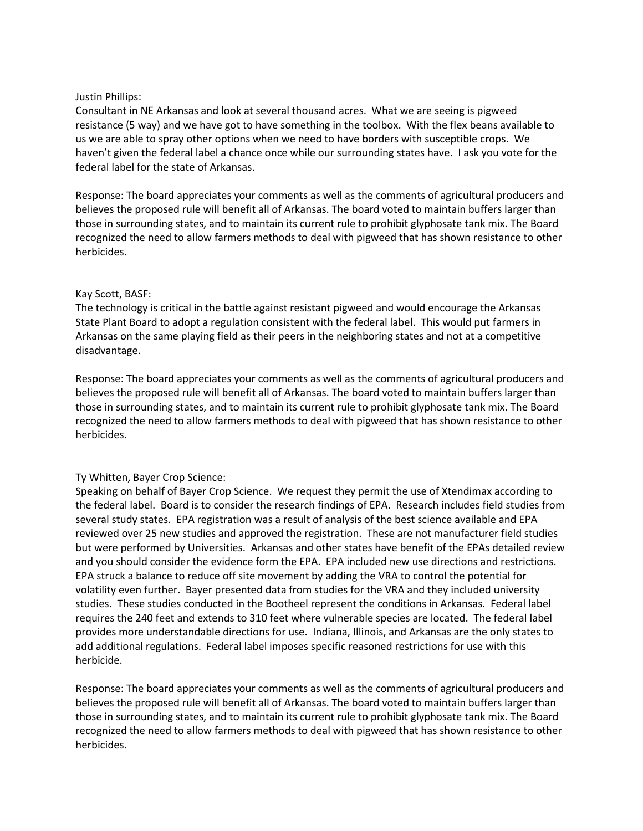## Justin Phillips:

Consultant in NE Arkansas and look at several thousand acres. What we are seeing is pigweed resistance (5 way) and we have got to have something in the toolbox. With the flex beans available to us we are able to spray other options when we need to have borders with susceptible crops. We haven't given the federal label a chance once while our surrounding states have. I ask you vote for the federal label for the state of Arkansas.

Response: The board appreciates your comments as well as the comments of agricultural producers and believes the proposed rule will benefit all of Arkansas. The board voted to maintain buffers larger than those in surrounding states, and to maintain its current rule to prohibit glyphosate tank mix. The Board recognized the need to allow farmers methods to deal with pigweed that has shown resistance to other herbicides.

## Kay Scott, BASF:

The technology is critical in the battle against resistant pigweed and would encourage the Arkansas State Plant Board to adopt a regulation consistent with the federal label. This would put farmers in Arkansas on the same playing field as their peers in the neighboring states and not at a competitive disadvantage.

Response: The board appreciates your comments as well as the comments of agricultural producers and believes the proposed rule will benefit all of Arkansas. The board voted to maintain buffers larger than those in surrounding states, and to maintain its current rule to prohibit glyphosate tank mix. The Board recognized the need to allow farmers methods to deal with pigweed that has shown resistance to other herbicides.

## Ty Whitten, Bayer Crop Science:

Speaking on behalf of Bayer Crop Science. We request they permit the use of Xtendimax according to the federal label. Board is to consider the research findings of EPA. Research includes field studies from several study states. EPA registration was a result of analysis of the best science available and EPA reviewed over 25 new studies and approved the registration. These are not manufacturer field studies but were performed by Universities. Arkansas and other states have benefit of the EPAs detailed review and you should consider the evidence form the EPA. EPA included new use directions and restrictions. EPA struck a balance to reduce off site movement by adding the VRA to control the potential for volatility even further. Bayer presented data from studies for the VRA and they included university studies. These studies conducted in the Bootheel represent the conditions in Arkansas. Federal label requires the 240 feet and extends to 310 feet where vulnerable species are located. The federal label provides more understandable directions for use. Indiana, Illinois, and Arkansas are the only states to add additional regulations. Federal label imposes specific reasoned restrictions for use with this herbicide.

Response: The board appreciates your comments as well as the comments of agricultural producers and believes the proposed rule will benefit all of Arkansas. The board voted to maintain buffers larger than those in surrounding states, and to maintain its current rule to prohibit glyphosate tank mix. The Board recognized the need to allow farmers methods to deal with pigweed that has shown resistance to other herbicides.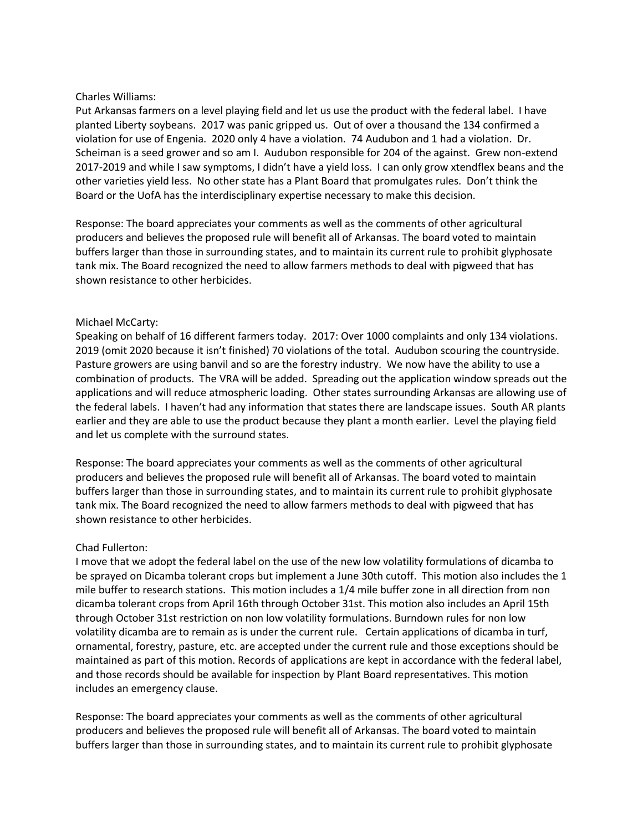## Charles Williams:

Put Arkansas farmers on a level playing field and let us use the product with the federal label. I have planted Liberty soybeans. 2017 was panic gripped us. Out of over a thousand the 134 confirmed a violation for use of Engenia. 2020 only 4 have a violation. 74 Audubon and 1 had a violation. Dr. Scheiman is a seed grower and so am I. Audubon responsible for 204 of the against. Grew non-extend 2017-2019 and while I saw symptoms, I didn't have a yield loss. I can only grow xtendflex beans and the other varieties yield less. No other state has a Plant Board that promulgates rules. Don't think the Board or the UofA has the interdisciplinary expertise necessary to make this decision.

Response: The board appreciates your comments as well as the comments of other agricultural producers and believes the proposed rule will benefit all of Arkansas. The board voted to maintain buffers larger than those in surrounding states, and to maintain its current rule to prohibit glyphosate tank mix. The Board recognized the need to allow farmers methods to deal with pigweed that has shown resistance to other herbicides.

## Michael McCarty:

Speaking on behalf of 16 different farmers today. 2017: Over 1000 complaints and only 134 violations. 2019 (omit 2020 because it isn't finished) 70 violations of the total. Audubon scouring the countryside. Pasture growers are using banvil and so are the forestry industry. We now have the ability to use a combination of products. The VRA will be added. Spreading out the application window spreads out the applications and will reduce atmospheric loading. Other states surrounding Arkansas are allowing use of the federal labels. I haven't had any information that states there are landscape issues. South AR plants earlier and they are able to use the product because they plant a month earlier. Level the playing field and let us complete with the surround states.

Response: The board appreciates your comments as well as the comments of other agricultural producers and believes the proposed rule will benefit all of Arkansas. The board voted to maintain buffers larger than those in surrounding states, and to maintain its current rule to prohibit glyphosate tank mix. The Board recognized the need to allow farmers methods to deal with pigweed that has shown resistance to other herbicides.

## Chad Fullerton:

I move that we adopt the federal label on the use of the new low volatility formulations of dicamba to be sprayed on Dicamba tolerant crops but implement a June 30th cutoff. This motion also includes the 1 mile buffer to research stations. This motion includes a 1/4 mile buffer zone in all direction from non dicamba tolerant crops from April 16th through October 31st. This motion also includes an April 15th through October 31st restriction on non low volatility formulations. Burndown rules for non low volatility dicamba are to remain as is under the current rule. Certain applications of dicamba in turf, ornamental, forestry, pasture, etc. are accepted under the current rule and those exceptions should be maintained as part of this motion. Records of applications are kept in accordance with the federal label, and those records should be available for inspection by Plant Board representatives. This motion includes an emergency clause.

Response: The board appreciates your comments as well as the comments of other agricultural producers and believes the proposed rule will benefit all of Arkansas. The board voted to maintain buffers larger than those in surrounding states, and to maintain its current rule to prohibit glyphosate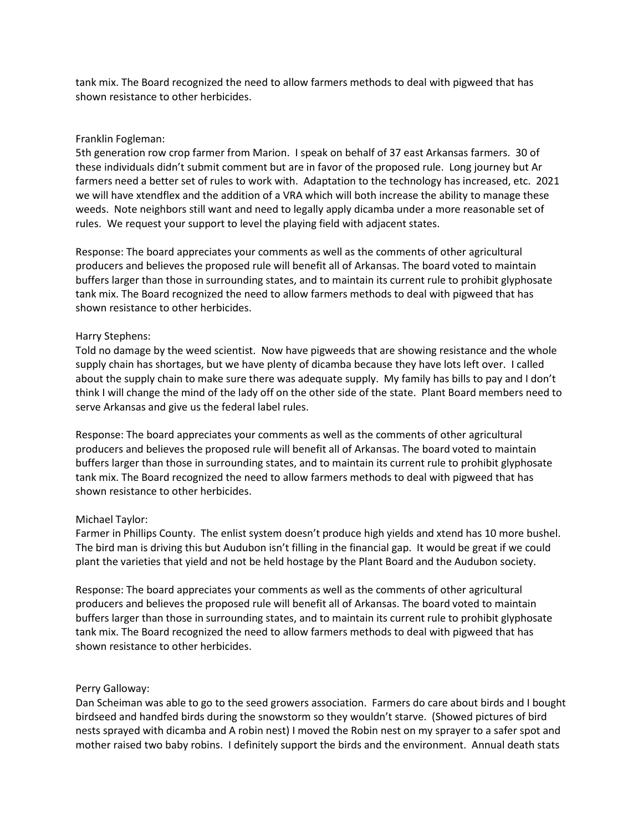tank mix. The Board recognized the need to allow farmers methods to deal with pigweed that has shown resistance to other herbicides.

## Franklin Fogleman:

5th generation row crop farmer from Marion. I speak on behalf of 37 east Arkansas farmers. 30 of these individuals didn't submit comment but are in favor of the proposed rule. Long journey but Ar farmers need a better set of rules to work with. Adaptation to the technology has increased, etc. 2021 we will have xtendflex and the addition of a VRA which will both increase the ability to manage these weeds. Note neighbors still want and need to legally apply dicamba under a more reasonable set of rules. We request your support to level the playing field with adjacent states.

Response: The board appreciates your comments as well as the comments of other agricultural producers and believes the proposed rule will benefit all of Arkansas. The board voted to maintain buffers larger than those in surrounding states, and to maintain its current rule to prohibit glyphosate tank mix. The Board recognized the need to allow farmers methods to deal with pigweed that has shown resistance to other herbicides.

## Harry Stephens:

Told no damage by the weed scientist. Now have pigweeds that are showing resistance and the whole supply chain has shortages, but we have plenty of dicamba because they have lots left over. I called about the supply chain to make sure there was adequate supply. My family has bills to pay and I don't think I will change the mind of the lady off on the other side of the state. Plant Board members need to serve Arkansas and give us the federal label rules.

Response: The board appreciates your comments as well as the comments of other agricultural producers and believes the proposed rule will benefit all of Arkansas. The board voted to maintain buffers larger than those in surrounding states, and to maintain its current rule to prohibit glyphosate tank mix. The Board recognized the need to allow farmers methods to deal with pigweed that has shown resistance to other herbicides.

### Michael Taylor:

Farmer in Phillips County. The enlist system doesn't produce high yields and xtend has 10 more bushel. The bird man is driving this but Audubon isn't filling in the financial gap. It would be great if we could plant the varieties that yield and not be held hostage by the Plant Board and the Audubon society.

Response: The board appreciates your comments as well as the comments of other agricultural producers and believes the proposed rule will benefit all of Arkansas. The board voted to maintain buffers larger than those in surrounding states, and to maintain its current rule to prohibit glyphosate tank mix. The Board recognized the need to allow farmers methods to deal with pigweed that has shown resistance to other herbicides.

### Perry Galloway:

Dan Scheiman was able to go to the seed growers association. Farmers do care about birds and I bought birdseed and handfed birds during the snowstorm so they wouldn't starve. (Showed pictures of bird nests sprayed with dicamba and A robin nest) I moved the Robin nest on my sprayer to a safer spot and mother raised two baby robins. I definitely support the birds and the environment. Annual death stats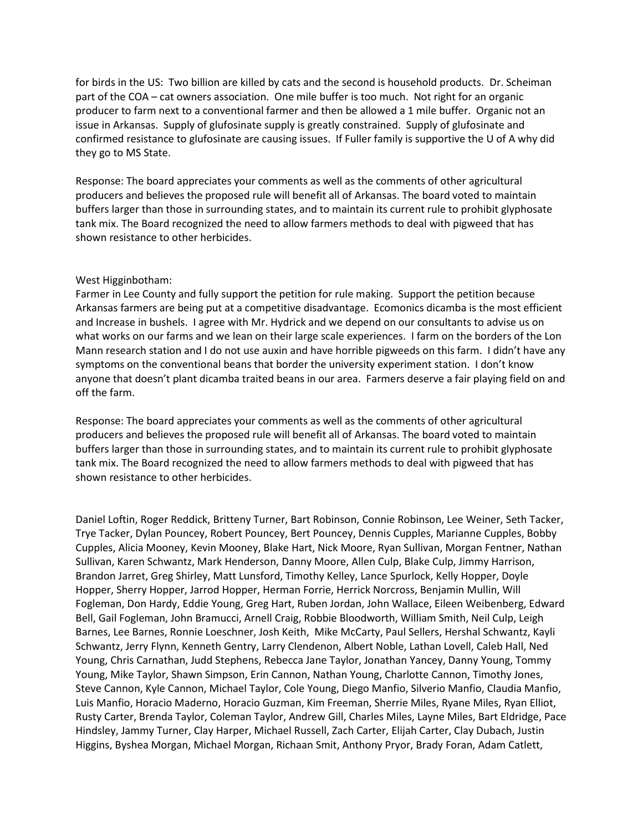for birds in the US: Two billion are killed by cats and the second is household products. Dr. Scheiman part of the COA – cat owners association. One mile buffer is too much. Not right for an organic producer to farm next to a conventional farmer and then be allowed a 1 mile buffer. Organic not an issue in Arkansas. Supply of glufosinate supply is greatly constrained. Supply of glufosinate and confirmed resistance to glufosinate are causing issues. If Fuller family is supportive the U of A why did they go to MS State.

Response: The board appreciates your comments as well as the comments of other agricultural producers and believes the proposed rule will benefit all of Arkansas. The board voted to maintain buffers larger than those in surrounding states, and to maintain its current rule to prohibit glyphosate tank mix. The Board recognized the need to allow farmers methods to deal with pigweed that has shown resistance to other herbicides.

## West Higginbotham:

Farmer in Lee County and fully support the petition for rule making. Support the petition because Arkansas farmers are being put at a competitive disadvantage. Ecomonics dicamba is the most efficient and Increase in bushels. I agree with Mr. Hydrick and we depend on our consultants to advise us on what works on our farms and we lean on their large scale experiences. I farm on the borders of the Lon Mann research station and I do not use auxin and have horrible pigweeds on this farm. I didn't have any symptoms on the conventional beans that border the university experiment station. I don't know anyone that doesn't plant dicamba traited beans in our area. Farmers deserve a fair playing field on and off the farm.

Response: The board appreciates your comments as well as the comments of other agricultural producers and believes the proposed rule will benefit all of Arkansas. The board voted to maintain buffers larger than those in surrounding states, and to maintain its current rule to prohibit glyphosate tank mix. The Board recognized the need to allow farmers methods to deal with pigweed that has shown resistance to other herbicides.

Daniel Loftin, Roger Reddick, Britteny Turner, Bart Robinson, Connie Robinson, Lee Weiner, Seth Tacker, Trye Tacker, Dylan Pouncey, Robert Pouncey, Bert Pouncey, Dennis Cupples, Marianne Cupples, Bobby Cupples, Alicia Mooney, Kevin Mooney, Blake Hart, Nick Moore, Ryan Sullivan, Morgan Fentner, Nathan Sullivan, Karen Schwantz, Mark Henderson, Danny Moore, Allen Culp, Blake Culp, Jimmy Harrison, Brandon Jarret, Greg Shirley, Matt Lunsford, Timothy Kelley, Lance Spurlock, Kelly Hopper, Doyle Hopper, Sherry Hopper, Jarrod Hopper, Herman Forrie, Herrick Norcross, Benjamin Mullin, Will Fogleman, Don Hardy, Eddie Young, Greg Hart, Ruben Jordan, John Wallace, Eileen Weibenberg, Edward Bell, Gail Fogleman, John Bramucci, Arnell Craig, Robbie Bloodworth, William Smith, Neil Culp, Leigh Barnes, Lee Barnes, Ronnie Loeschner, Josh Keith, Mike McCarty, Paul Sellers, Hershal Schwantz, Kayli Schwantz, Jerry Flynn, Kenneth Gentry, Larry Clendenon, Albert Noble, Lathan Lovell, Caleb Hall, Ned Young, Chris Carnathan, Judd Stephens, Rebecca Jane Taylor, Jonathan Yancey, Danny Young, Tommy Young, Mike Taylor, Shawn Simpson, Erin Cannon, Nathan Young, Charlotte Cannon, Timothy Jones, Steve Cannon, Kyle Cannon, Michael Taylor, Cole Young, Diego Manfio, Silverio Manfio, Claudia Manfio, Luis Manfio, Horacio Maderno, Horacio Guzman, Kim Freeman, Sherrie Miles, Ryane Miles, Ryan Elliot, Rusty Carter, Brenda Taylor, Coleman Taylor, Andrew Gill, Charles Miles, Layne Miles, Bart Eldridge, Pace Hindsley, Jammy Turner, Clay Harper, Michael Russell, Zach Carter, Elijah Carter, Clay Dubach, Justin Higgins, Byshea Morgan, Michael Morgan, Richaan Smit, Anthony Pryor, Brady Foran, Adam Catlett,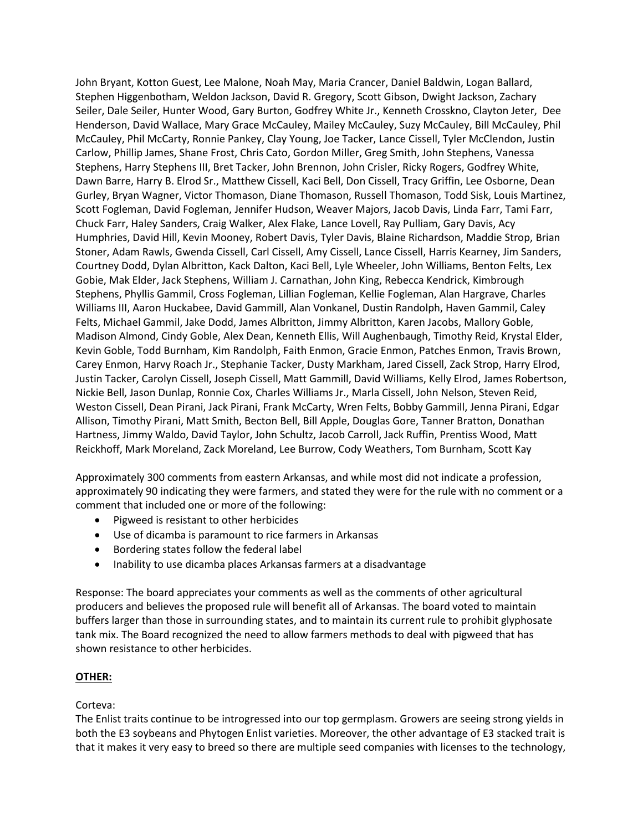John Bryant, Kotton Guest, Lee Malone, Noah May, Maria Crancer, Daniel Baldwin, Logan Ballard, Stephen Higgenbotham, Weldon Jackson, David R. Gregory, Scott Gibson, Dwight Jackson, Zachary Seiler, Dale Seiler, Hunter Wood, Gary Burton, Godfrey White Jr., Kenneth Crosskno, Clayton Jeter, Dee Henderson, David Wallace, Mary Grace McCauley, Mailey McCauley, Suzy McCauley, Bill McCauley, Phil McCauley, Phil McCarty, Ronnie Pankey, Clay Young, Joe Tacker, Lance Cissell, Tyler McClendon, Justin Carlow, Phillip James, Shane Frost, Chris Cato, Gordon Miller, Greg Smith, John Stephens, Vanessa Stephens, Harry Stephens III, Bret Tacker, John Brennon, John Crisler, Ricky Rogers, Godfrey White, Dawn Barre, Harry B. Elrod Sr., Matthew Cissell, Kaci Bell, Don Cissell, Tracy Griffin, Lee Osborne, Dean Gurley, Bryan Wagner, Victor Thomason, Diane Thomason, Russell Thomason, Todd Sisk, Louis Martinez, Scott Fogleman, David Fogleman, Jennifer Hudson, Weaver Majors, Jacob Davis, Linda Farr, Tami Farr, Chuck Farr, Haley Sanders, Craig Walker, Alex Flake, Lance Lovell, Ray Pulliam, Gary Davis, Acy Humphries, David Hill, Kevin Mooney, Robert Davis, Tyler Davis, Blaine Richardson, Maddie Strop, Brian Stoner, Adam Rawls, Gwenda Cissell, Carl Cissell, Amy Cissell, Lance Cissell, Harris Kearney, Jim Sanders, Courtney Dodd, Dylan Albritton, Kack Dalton, Kaci Bell, Lyle Wheeler, John Williams, Benton Felts, Lex Gobie, Mak Elder, Jack Stephens, William J. Carnathan, John King, Rebecca Kendrick, Kimbrough Stephens, Phyllis Gammil, Cross Fogleman, Lillian Fogleman, Kellie Fogleman, Alan Hargrave, Charles Williams III, Aaron Huckabee, David Gammill, Alan Vonkanel, Dustin Randolph, Haven Gammil, Caley Felts, Michael Gammil, Jake Dodd, James Albritton, Jimmy Albritton, Karen Jacobs, Mallory Goble, Madison Almond, Cindy Goble, Alex Dean, Kenneth Ellis, Will Aughenbaugh, Timothy Reid, Krystal Elder, Kevin Goble, Todd Burnham, Kim Randolph, Faith Enmon, Gracie Enmon, Patches Enmon, Travis Brown, Carey Enmon, Harvy Roach Jr., Stephanie Tacker, Dusty Markham, Jared Cissell, Zack Strop, Harry Elrod, Justin Tacker, Carolyn Cissell, Joseph Cissell, Matt Gammill, David Williams, Kelly Elrod, James Robertson, Nickie Bell, Jason Dunlap, Ronnie Cox, Charles Williams Jr., Marla Cissell, John Nelson, Steven Reid, Weston Cissell, Dean Pirani, Jack Pirani, Frank McCarty, Wren Felts, Bobby Gammill, Jenna Pirani, Edgar Allison, Timothy Pirani, Matt Smith, Becton Bell, Bill Apple, Douglas Gore, Tanner Bratton, Donathan Hartness, Jimmy Waldo, David Taylor, John Schultz, Jacob Carroll, Jack Ruffin, Prentiss Wood, Matt Reickhoff, Mark Moreland, Zack Moreland, Lee Burrow, Cody Weathers, Tom Burnham, Scott Kay

Approximately 300 comments from eastern Arkansas, and while most did not indicate a profession, approximately 90 indicating they were farmers, and stated they were for the rule with no comment or a comment that included one or more of the following:

- Pigweed is resistant to other herbicides
- Use of dicamba is paramount to rice farmers in Arkansas
- Bordering states follow the federal label
- Inability to use dicamba places Arkansas farmers at a disadvantage

Response: The board appreciates your comments as well as the comments of other agricultural producers and believes the proposed rule will benefit all of Arkansas. The board voted to maintain buffers larger than those in surrounding states, and to maintain its current rule to prohibit glyphosate tank mix. The Board recognized the need to allow farmers methods to deal with pigweed that has shown resistance to other herbicides.

## **OTHER:**

## Corteva:

The Enlist traits continue to be introgressed into our top germplasm. Growers are seeing strong yields in both the E3 soybeans and Phytogen Enlist varieties. Moreover, the other advantage of E3 stacked trait is that it makes it very easy to breed so there are multiple seed companies with licenses to the technology,